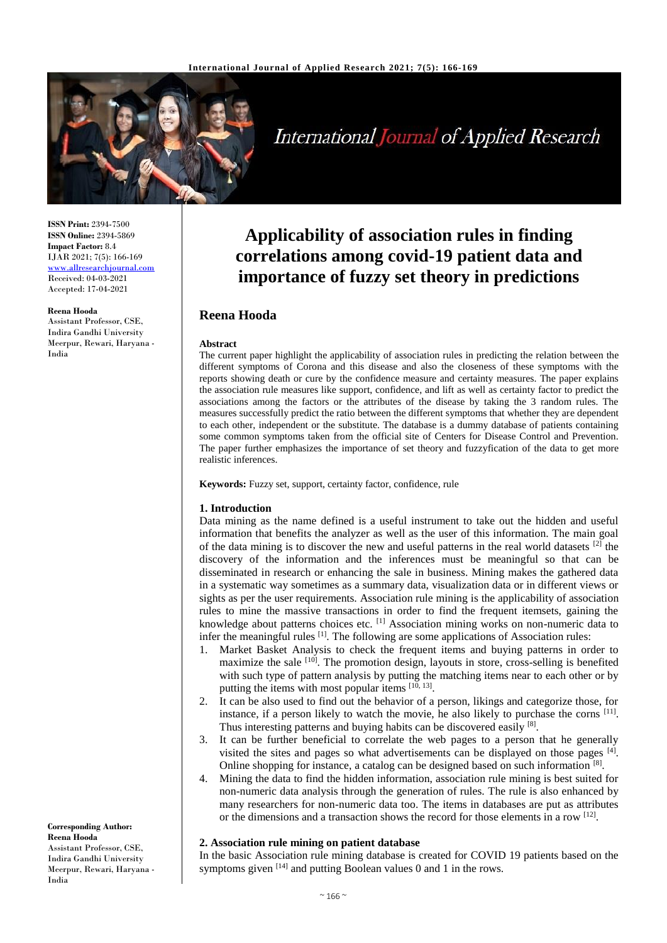

# International Journal of Applied Research

**ISSN Print:** 2394-7500 **ISSN Online:** 2394-5869 **Impact Factor:** 8.4 IJAR 2021; 7(5): 166-169 [www.allresearchjournal.com](http://www.allresearchjournal.com/) Received: 04-03-2021 Accepted: 17-04-2021

#### **Reena Hooda**

Assistant Professor, CSE, Indira Gandhi University Meerpur, Rewari, Haryana - India

**Applicability of association rules in finding correlations among covid-19 patient data and importance of fuzzy set theory in predictions**

# **Reena Hooda**

#### **Abstract**

The current paper highlight the applicability of association rules in predicting the relation between the different symptoms of Corona and this disease and also the closeness of these symptoms with the reports showing death or cure by the confidence measure and certainty measures. The paper explains the association rule measures like support, confidence, and lift as well as certainty factor to predict the associations among the factors or the attributes of the disease by taking the 3 random rules. The measures successfully predict the ratio between the different symptoms that whether they are dependent to each other, independent or the substitute. The database is a dummy database of patients containing some common symptoms taken from the official site of Centers for Disease Control and Prevention. The paper further emphasizes the importance of set theory and fuzzyfication of the data to get more realistic inferences.

**Keywords:** Fuzzy set, support, certainty factor, confidence, rule

#### **1. Introduction**

Data mining as the name defined is a useful instrument to take out the hidden and useful information that benefits the analyzer as well as the user of this information. The main goal of the data mining is to discover the new and useful patterns in the real world datasets  $[2]$  the discovery of the information and the inferences must be meaningful so that can be disseminated in research or enhancing the sale in business. Mining makes the gathered data in a systematic way sometimes as a summary data, visualization data or in different views or sights as per the user requirements. Association rule mining is the applicability of association rules to mine the massive transactions in order to find the frequent itemsets, gaining the knowledge about patterns choices etc.  $\left[1\right]$  Association mining works on non-numeric data to infer the meaningful rules <sup>[1]</sup>. The following are some applications of Association rules:

- 1. Market Basket Analysis to check the frequent items and buying patterns in order to maximize the sale  $[10]$ . The promotion design, layouts in store, cross-selling is benefited with such type of pattern analysis by putting the matching items near to each other or by putting the items with most popular items [10, 13].
- 2. It can be also used to find out the behavior of a person, likings and categorize those, for instance, if a person likely to watch the movie, he also likely to purchase the corns <sup>[11]</sup>. Thus interesting patterns and buying habits can be discovered easily [8].
- 3. It can be further beneficial to correlate the web pages to a person that he generally visited the sites and pages so what advertisements can be displayed on those pages  $[4]$ . Online shopping for instance, a catalog can be designed based on such information [8].
- 4. Mining the data to find the hidden information, association rule mining is best suited for non-numeric data analysis through the generation of rules. The rule is also enhanced by many researchers for non-numeric data too. The items in databases are put as attributes or the dimensions and a transaction shows the record for those elements in a row <sup>[12]</sup>.

## **2. Association rule mining on patient database**

In the basic Association rule mining database is created for COVID 19 patients based on the symptoms given  $[14]$  and putting Boolean values 0 and 1 in the rows.

**Corresponding Author: Reena Hooda** Assistant Professor, CSE, Indira Gandhi University Meerpur, Rewari, Haryana - India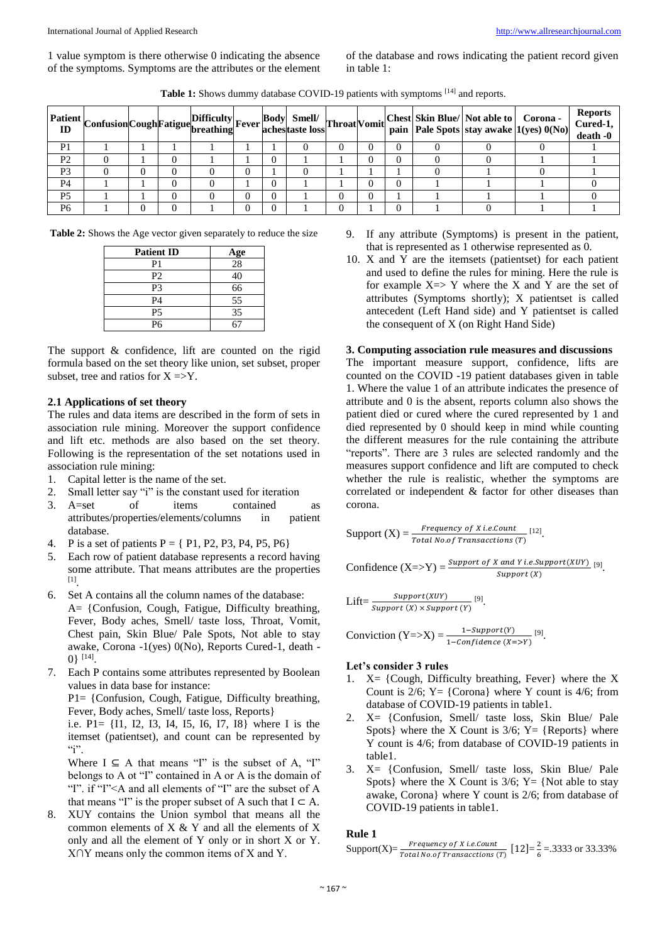1 value symptom is there otherwise 0 indicating the absence of the symptoms. Symptoms are the attributes or the element

of the database and rows indicating the patient record given in table 1:

Table 1: Shows dummy database COVID-19 patients with symptoms <sup>[14]</sup> and reports.

|                | <b>Patient</b> Confusion Cough Fatigue Difficulty Fever Body Smell/ |  |  |  | <b>Throat Vomit</b> |                |  | Chest Skin Blue/ Not able to Corona - | pain   Pale Spots   stay awake $ 1(yes) 0(No) $ | <b>Reports</b><br>Cured-1,<br>death -0 |
|----------------|---------------------------------------------------------------------|--|--|--|---------------------|----------------|--|---------------------------------------|-------------------------------------------------|----------------------------------------|
| P <sub>1</sub> |                                                                     |  |  |  |                     | O              |  |                                       |                                                 |                                        |
| P <sub>2</sub> |                                                                     |  |  |  |                     | 0              |  |                                       |                                                 |                                        |
| P <sub>3</sub> |                                                                     |  |  |  |                     |                |  |                                       |                                                 |                                        |
| <b>P4</b>      |                                                                     |  |  |  |                     | 0              |  |                                       |                                                 |                                        |
| P <sub>5</sub> |                                                                     |  |  |  |                     | $\overline{0}$ |  |                                       |                                                 |                                        |
| P <sub>6</sub> |                                                                     |  |  |  |                     |                |  |                                       |                                                 |                                        |

**Table 2:** Shows the Age vector given separately to reduce the size

| <b>Patient ID</b> | Age |
|-------------------|-----|
| P <sub>1</sub>    | 28  |
| P <sub>2</sub>    | 40  |
| P <sub>3</sub>    | 66  |
| P <sub>4</sub>    | 55  |
| P <sub>5</sub>    | 35  |
| P6                |     |

The support & confidence, lift are counted on the rigid formula based on the set theory like union, set subset, proper subset, tree and ratios for  $X = > Y$ .

#### **2.1 Applications of set theory**

The rules and data items are described in the form of sets in association rule mining. Moreover the support confidence and lift etc. methods are also based on the set theory. Following is the representation of the set notations used in association rule mining:

- 1. Capital letter is the name of the set.
- 2. Small letter say "i" is the constant used for iteration
- 3. A=set of items contained as attributes/properties/elements/columns in patient database.
- 4. P is a set of patients  $P = \{P1, P2, P3, P4, P5, P6\}$
- 5. Each row of patient database represents a record having some attribute. That means attributes are the properties [1] .
- 6. Set A contains all the column names of the database: A= {Confusion, Cough, Fatigue, Difficulty breathing, Fever, Body aches, Smell/ taste loss, Throat, Vomit, Chest pain, Skin Blue/ Pale Spots, Not able to stay awake, Corona -1(yes) 0(No), Reports Cured-1, death -  $0\}$  [14].
- 7. Each P contains some attributes represented by Boolean values in data base for instance:

P1= {Confusion, Cough, Fatigue, Difficulty breathing, Fever, Body aches, Smell/ taste loss, Reports}

i.e. P1= {I1, I2, I3, I4, I5, I6, I7, I8} where I is the itemset (patientset), and count can be represented by  $\lq\lq\lq\lq\lq\lq\lq\lq\lq\lq\lq$ 

Where  $I \subseteq A$  that means "I" is the subset of A, "I" belongs to A ot "I" contained in A or A is the domain of "I". if "I"<A and all elements of "I" are the subset of A that means "I" is the proper subset of A such that  $I \subset A$ .

8. XUY contains the Union symbol that means all the common elements of X & Y and all the elements of X only and all the element of Y only or in short X or Y. X∩Y means only the common items of X and Y.

- 9. If any attribute (Symptoms) is present in the patient, that is represented as 1 otherwise represented as 0.
- 10. X and Y are the itemsets (patientset) for each patient and used to define the rules for mining. Here the rule is for example  $X \Rightarrow Y$  where the X and Y are the set of attributes (Symptoms shortly); X patientset is called antecedent (Left Hand side) and Y patientset is called the consequent of X (on Right Hand Side)

#### **3. Computing association rule measures and discussions**

The important measure support, confidence, lifts are counted on the COVID -19 patient databases given in table 1. Where the value 1 of an attribute indicates the presence of attribute and 0 is the absent, reports column also shows the patient died or cured where the cured represented by 1 and died represented by 0 should keep in mind while counting the different measures for the rule containing the attribute "reports". There are 3 rules are selected randomly and the measures support confidence and lift are computed to check whether the rule is realistic, whether the symptoms are correlated or independent & factor for other diseases than corona.

Support 
$$
(X) = \frac{Frequency \text{ of } X \text{ i.e.} count}{Total No. of Transactions (T))}
$$
.

Confidence 
$$
(X = > Y)
$$
 = 
$$
\frac{Support\ of\ X\ and\ Y\ i.e. Support(XUY)}{Support(X)}
$$
 [9].

$$
Lift = \frac{Support(XUY)}{Support(X) \times Support(Y)} [9].
$$

Conviction  $(Y=\gt;X) = \frac{1-Support(Y)}{1-Confidence(X=\gt;Y)}$ [9] .

## **Let's consider 3 rules**

- 1.  $X = \{Cough, Difficulty breathing, Fever\} where the X$ Count is  $2/6$ ; Y = {Corona} where Y count is 4/6; from database of COVID-19 patients in table1.
- 2. X= {Confusion, Smell/ taste loss, Skin Blue/ Pale Spots} where the X Count is  $3/6$ ; Y = {Reports} where Y count is 4/6; from database of COVID-19 patients in table1.
- 3. X= {Confusion, Smell/ taste loss, Skin Blue/ Pale Spots} where the X Count is  $3/6$ ; Y = {Not able to stay awake, Corona} where Y count is 2/6; from database of COVID-19 patients in table1.

#### **Rule 1**

 $\text{Support}(X) = \frac{Frequency \text{ of } X \text{ i.e.} count}{T \times t \times M \times s \times T \times m \times s \times t \times m \times t \times m \times t \times m \times t \times m \times t \times m \times t \times m \times t \times m \times t \times m \times t \times m \times t \times m \times t \times m \times t \times m \times t \times m \times t \times m \times t \times m \times t \times m \times t \times m \times t \times m \times t \times m \times t \times m \times t \times m \times t \times m \times t \times m \times t \times m \times t \times m \times t \times m \times t \times m \times t \times m \times t \times m$ Frequency of X i.e.Count<br>Total No.of Transacctions (T)  $[12] = \frac{2}{6}$  $\frac{2}{6}$  = 33333 or 33.33%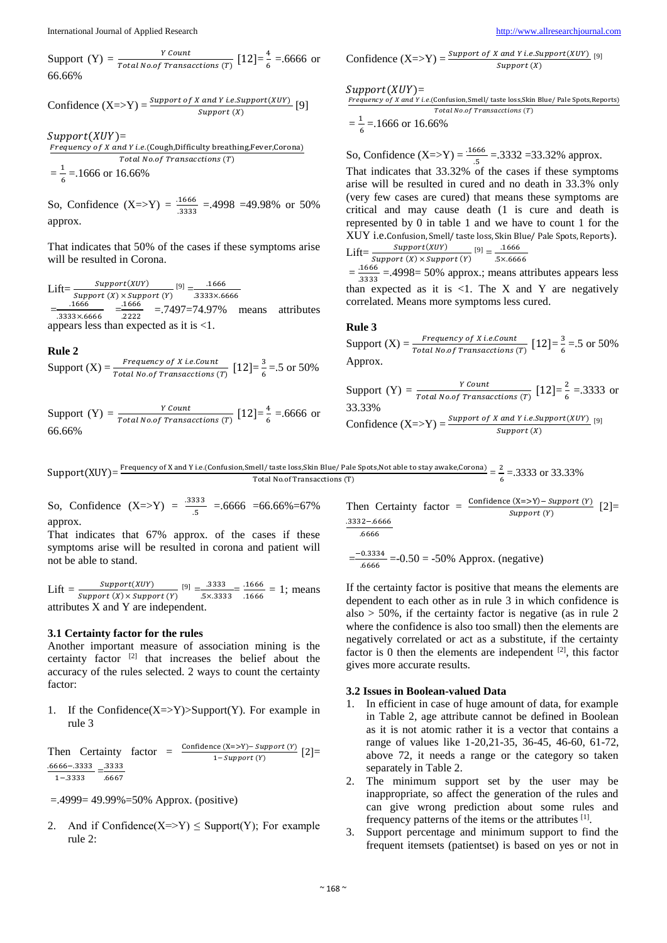Support (Y) =  $\frac{Y \text{ Count}}{\text{Total No. of Transactions (T)}}$  [12]= $\frac{4}{6}$  $\frac{4}{6}$  = .6666 or 66.66%

Confidence 
$$
(X \Rightarrow Y) = \frac{Support\ of\ X\ and\ Y\ i.e. Support(XUY)}{Support(X)}
$$
 [9]

 $Support(XUY) =$ Frequency of X and Y i.e.(Cough,Difficulty breathing,Fever,Corona) Total No.of Transacctions (T)

 $=\frac{1}{2}$  $\frac{1}{6}$  = 1666 or 16.66%

So, Confidence  $(X = Y) = \frac{.1666}{.3333} = .4998 = 49.98\%$  or 50% approx.

That indicates that 50% of the cases if these symptoms arise will be resulted in Corona.

Lift= $\frac{Support(XUY)}{Support(X) \times Support(Y)}$  [9] =  $\frac{.1666}{.3333 \times .6}$ .3333×.6666  $=\frac{.1666}{.2333346}$  $\frac{.1666}{.3333 \times 6666} = \frac{.1666}{.2222}$  $\frac{1886}{22222}$  = 7497=74.97% means attributes appears less than expected as it is <1.

**Rule 2**

Support (X) =  $\frac{Frequency\ of\ X\ i.e. Count}{Total\ No. of\ Transactions\ (T)}$   $[12] = \frac{3}{6}$  $\frac{3}{6}$  = 5 or 50%

Support (Y) =  $\frac{Y \text{ Count}}{\text{Total No. of Transactions (T)}}$  [12]= $\frac{4}{6}$  $\frac{4}{6}$  = .6666 or 66.66%

Confidence 
$$
(X \Rightarrow Y) = \frac{Support\ of\ X\ and\ Y\ i.e. Support(XUY)}{Support(X)}
$$
 [9]

 $Support(XUY) =$ 

Frequency of X and Y i.e.(Confusion,Smell/ taste loss,Skin Blue/ Pale Spots,Reports)  $Total No. of Transactions (T)$ 

$$
=\frac{1}{6}=.1666 \text{ or } 16.66\%
$$

So, Confidence  $(X = > Y) = \frac{.1666}{.5} = .3332 = 33.32\%$  approx.

That indicates that 33.32% of the cases if these symptoms arise will be resulted in cured and no death in 33.3% only (very few cases are cured) that means these symptoms are critical and may cause death (1 is cure and death is represented by 0 in table 1 and we have to count 1 for the XUY i.e.Confusion, Smell/ taste loss, Skin Blue/ Pale Spots, Reports). Lift= $\frac{Support(XUY)}{q_{\text{current}}(X) + q_{\text{current}}(Y)}$  [9] =  $\frac{.1666}{7}$ 

*Support* (*X*) × *Support* (*Y*) 5×.6666  
= 
$$
\frac{.1666}{.2222}
$$
 = .4998= 50% approx.; means at

 $\frac{1000}{13333}$  = 4998 = 50% approx.; means attributes appears less than expected as it is  $\langle 1$ . The X and Y are negatively correlated. Means more symptoms less cured.

#### **Rule 3**

Support  $(X) = \frac{Frequency \ of \ X \ i.e. count}{Total \ No. of \ Transactions \ (T) } \ [12] = \frac{3}{6}$  $\frac{3}{6}$  = 5 or 50% Approx.

Support (Y) = 
$$
\frac{Y \text{ Count}}{\text{Total No. of Transactions (T)}} [12] = \frac{2}{6} = .3333 \text{ or } 33.33\%
$$
  
Confidence (X=>Y) =  $\frac{\text{Support of X and Y i.e. Support(XUY)}}{\text{Support (X)}}$  [9]

 $Support(XUY) = \frac{Frequency \text{ of } X \text{ and } Y \text{ i.e.} (Configuration, Smell / \text{taste loss,î} \text{Skin Blue} / \text{Pale Spots,Not able to stay awake,Corona)}{mean\_error}$  $\frac{\text{well}}{\text{total No.of Transactions (T)}} = \frac{2}{5}$ <br>Total No.of Transacctions (T)  $\frac{2}{6}$  = 33333 or 33.33%

So, Confidence  $(X=>Y) = \frac{.3333}{.5} = .6666 = 66.66\% = 67\%$ approx.

That indicates that 67% approx. of the cases if these symptoms arise will be resulted in corona and patient will not be able to stand.

Lift  $=$   $\frac{Support(XUY)}{G_{\text{current}}(X) \times G_{\text{num}}(Y)}$  $\frac{Support(XUY)}{Support(X) \times Support(Y)}$  [9]  $=\frac{.3333}{.5 \times .333}$  $\frac{.3333}{.5 \times .3333} = \frac{.1666}{.1666}$  $\frac{.1666}{.1666} = 1$ ; means attributes X and Y are independent.

#### **3.1 Certainty factor for the rules**

Another important measure of association mining is the certainty factor [2] that increases the belief about the accuracy of the rules selected. 2 ways to count the certainty factor:

1. If the Confidence $(X=\gt;Y)$  $\gt$ Support $(Y)$ . For example in rule 3

Then Certainty factor =  $\frac{\text{Confidence (X=>Y) - Support (Y)}}{1 - Support (Y)}$  [2]= .6666−.3333 1−.3333  $=\frac{.3333}{.665}$ .6667

=.4999= 49.99%=50% Approx. (positive)

2. And if Confidence( $X \Rightarrow Y$ )  $\leq$  Support(Y); For example rule 2:

Then Certainly factor = 
$$
\frac{\text{Confidence (X=>Y)- Support (Y)}}{\text{Support (Y)}}
$$
 [2]=\n
$$
\frac{.3332-.6666}{.6666}
$$

$$
=\frac{-0.3334}{.6666} = -0.50 = -50\% \text{ Approx. (negative)}
$$

If the certainty factor is positive that means the elements are dependent to each other as in rule 3 in which confidence is also  $> 50\%$ , if the certainty factor is negative (as in rule 2) where the confidence is also too small) then the elements are negatively correlated or act as a substitute, if the certainty factor is 0 then the elements are independent  $[2]$ , this factor gives more accurate results.

#### **3.2 Issues in Boolean-valued Data**

- 1. In efficient in case of huge amount of data, for example in Table 2, age attribute cannot be defined in Boolean as it is not atomic rather it is a vector that contains a range of values like 1-20,21-35, 36-45, 46-60, 61-72, above 72, it needs a range or the category so taken separately in Table 2.
- 2. The minimum support set by the user may be inappropriate, so affect the generation of the rules and can give wrong prediction about some rules and frequency patterns of the items or the attributes <sup>[1]</sup>.
- 3. Support percentage and minimum support to find the frequent itemsets (patientset) is based on yes or not in